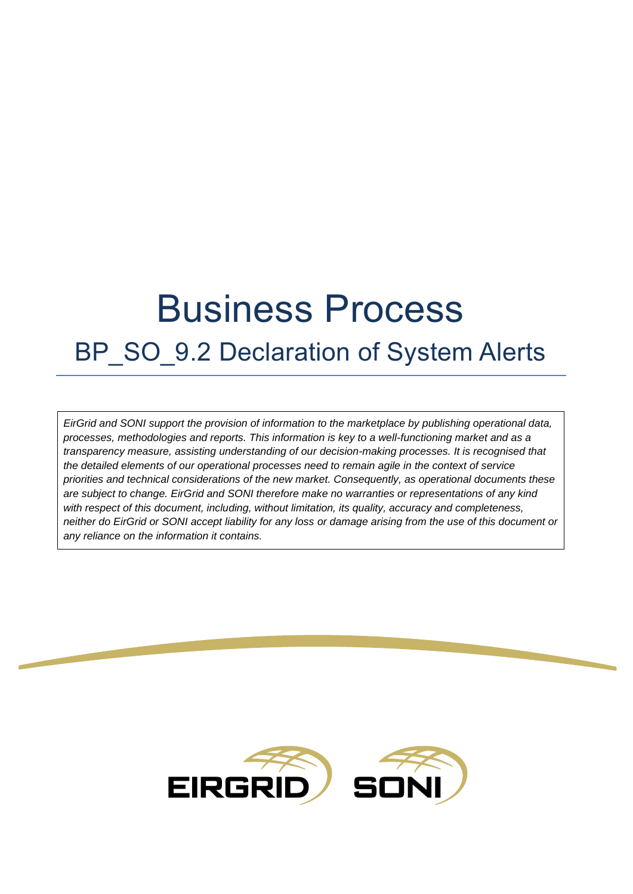# Business Process

# BP SO 9.2 Declaration of System Alerts

*EirGrid and SONI support the provision of information to the marketplace by publishing operational data, processes, methodologies and reports. This information is key to a well-functioning market and as a transparency measure, assisting understanding of our decision-making processes. It is recognised that the detailed elements of our operational processes need to remain agile in the context of service priorities and technical considerations of the new market. Consequently, as operational documents these are subject to change. EirGrid and SONI therefore make no warranties or representations of any kind with respect of this document, including, without limitation, its quality, accuracy and completeness, neither do EirGrid or SONI accept liability for any loss or damage arising from the use of this document or any reliance on the information it contains.*

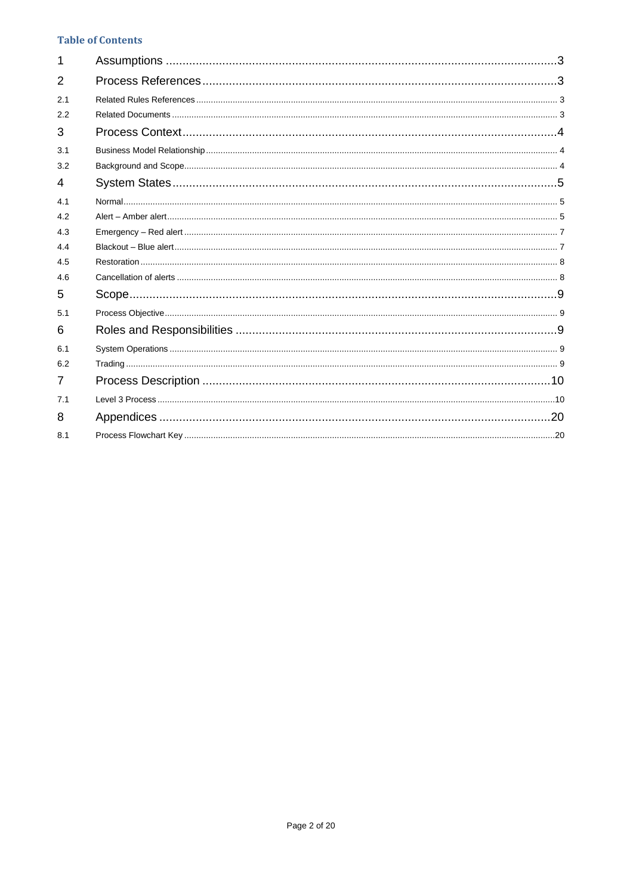#### **Table of Contents**

| 1   |  |
|-----|--|
| 2   |  |
| 2.1 |  |
| 2.2 |  |
| 3   |  |
| 3.1 |  |
| 3.2 |  |
| 4   |  |
| 4.1 |  |
| 4.2 |  |
| 4.3 |  |
| 4.4 |  |
| 4.5 |  |
| 4.6 |  |
| 5   |  |
| 5.1 |  |
| 6   |  |
| 6.1 |  |
| 6.2 |  |
| 7   |  |
| 7.1 |  |
| 8   |  |
| 8.1 |  |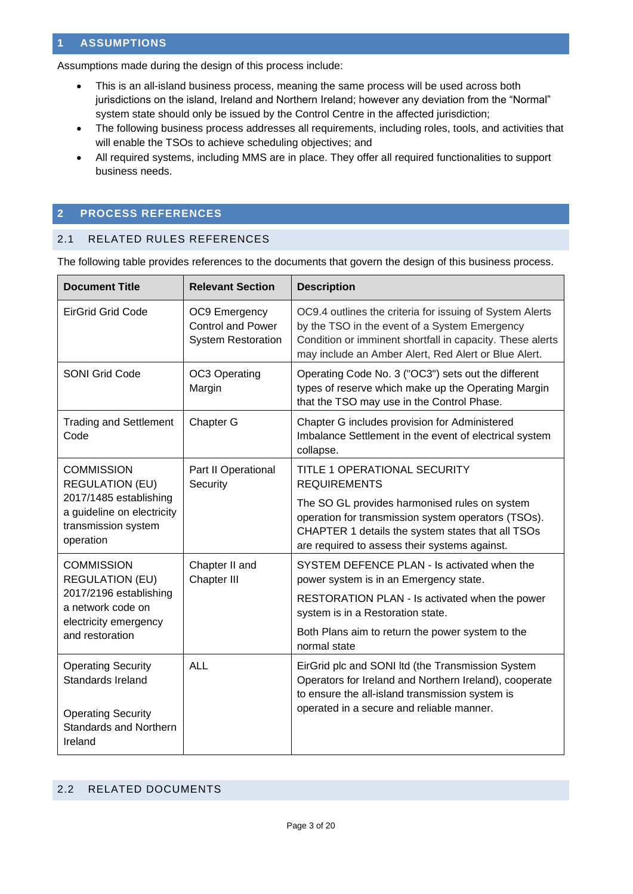#### <span id="page-2-0"></span>**1 ASSUMPTIONS**

Assumptions made during the design of this process include:

- This is an all-island business process, meaning the same process will be used across both jurisdictions on the island, Ireland and Northern Ireland; however any deviation from the "Normal" system state should only be issued by the Control Centre in the affected jurisdiction;
- The following business process addresses all requirements, including roles, tools, and activities that will enable the TSOs to achieve scheduling objectives; and
- All required systems, including MMS are in place. They offer all required functionalities to support business needs.

#### <span id="page-2-1"></span>**2 PROCESS REFERENCES**

#### <span id="page-2-2"></span>2.1 RELATED RULES REFERENCES

The following table provides references to the documents that govern the design of this business process.

| <b>Document Title</b>                                                                    | <b>Relevant Section</b>                                                | <b>Description</b>                                                                                                                                                                                                             |
|------------------------------------------------------------------------------------------|------------------------------------------------------------------------|--------------------------------------------------------------------------------------------------------------------------------------------------------------------------------------------------------------------------------|
| <b>EirGrid Grid Code</b>                                                                 | OC9 Emergency<br><b>Control and Power</b><br><b>System Restoration</b> | OC9.4 outlines the criteria for issuing of System Alerts<br>by the TSO in the event of a System Emergency<br>Condition or imminent shortfall in capacity. These alerts<br>may include an Amber Alert, Red Alert or Blue Alert. |
| <b>SONI Grid Code</b>                                                                    | OC3 Operating<br>Margin                                                | Operating Code No. 3 ("OC3") sets out the different<br>types of reserve which make up the Operating Margin<br>that the TSO may use in the Control Phase.                                                                       |
| <b>Trading and Settlement</b><br>Code                                                    | Chapter G                                                              | Chapter G includes provision for Administered<br>Imbalance Settlement in the event of electrical system<br>collapse.                                                                                                           |
| <b>COMMISSION</b><br><b>REGULATION (EU)</b>                                              | Part II Operational<br>Security                                        | <b>TITLE 1 OPERATIONAL SECURITY</b><br><b>REQUIREMENTS</b>                                                                                                                                                                     |
| 2017/1485 establishing<br>a guideline on electricity<br>transmission system<br>operation |                                                                        | The SO GL provides harmonised rules on system<br>operation for transmission system operators (TSOs).<br>CHAPTER 1 details the system states that all TSOs<br>are required to assess their systems against.                     |
| <b>COMMISSION</b><br><b>REGULATION (EU)</b>                                              | Chapter II and<br>Chapter III                                          | SYSTEM DEFENCE PLAN - Is activated when the<br>power system is in an Emergency state.                                                                                                                                          |
| 2017/2196 establishing<br>a network code on<br>electricity emergency                     |                                                                        | RESTORATION PLAN - Is activated when the power<br>system is in a Restoration state.                                                                                                                                            |
| and restoration                                                                          |                                                                        | Both Plans aim to return the power system to the<br>normal state                                                                                                                                                               |
| <b>Operating Security</b><br>Standards Ireland                                           | <b>ALL</b>                                                             | EirGrid plc and SONI Itd (the Transmission System<br>Operators for Ireland and Northern Ireland), cooperate<br>to ensure the all-island transmission system is<br>operated in a secure and reliable manner.                    |
| <b>Operating Security</b><br><b>Standards and Northern</b><br>Ireland                    |                                                                        |                                                                                                                                                                                                                                |

#### <span id="page-2-3"></span>2.2 RELATED DOCUMENTS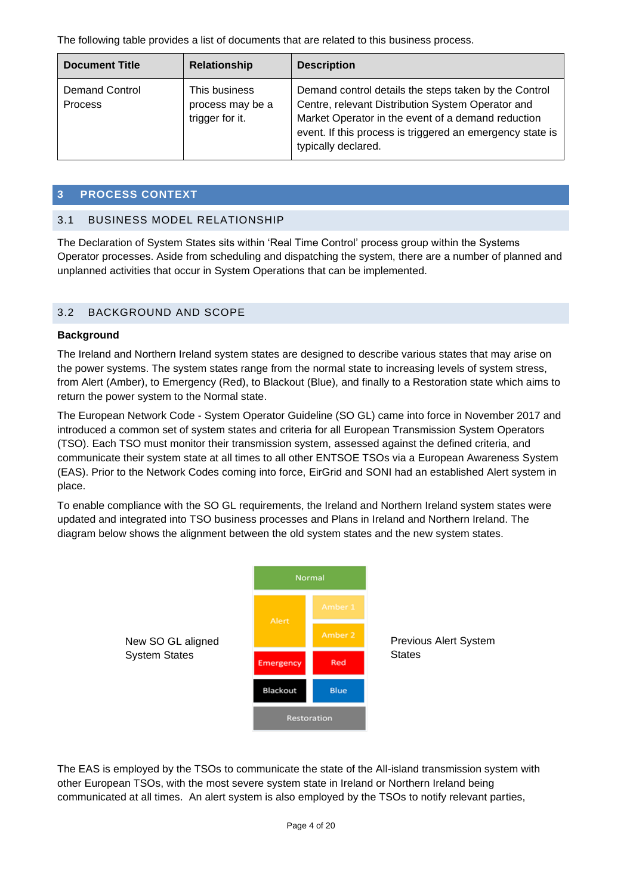The following table provides a list of documents that are related to this business process.

| <b>Document Title</b>                   | Relationship                                         | <b>Description</b>                                                                                                                                                                                                                                   |
|-----------------------------------------|------------------------------------------------------|------------------------------------------------------------------------------------------------------------------------------------------------------------------------------------------------------------------------------------------------------|
| <b>Demand Control</b><br><b>Process</b> | This business<br>process may be a<br>trigger for it. | Demand control details the steps taken by the Control<br>Centre, relevant Distribution System Operator and<br>Market Operator in the event of a demand reduction<br>event. If this process is triggered an emergency state is<br>typically declared. |

#### <span id="page-3-0"></span>**3 PROCESS CONTEXT**

#### <span id="page-3-1"></span>3.1 BUSINESS MODEL RELATIONSHIP

The Declaration of System States sits within 'Real Time Control' process group within the Systems Operator processes. Aside from scheduling and dispatching the system, there are a number of planned and unplanned activities that occur in System Operations that can be implemented.

#### <span id="page-3-2"></span>3.2 BACKGROUND AND SCOPE

#### **Background**

The Ireland and Northern Ireland system states are designed to describe various states that may arise on the power systems. The system states range from the normal state to increasing levels of system stress, from Alert (Amber), to Emergency (Red), to Blackout (Blue), and finally to a Restoration state which aims to return the power system to the Normal state.

The European Network Code - System Operator Guideline (SO GL) came into force in November 2017 and introduced a common set of system states and criteria for all European Transmission System Operators (TSO). Each TSO must monitor their transmission system, assessed against the defined criteria, and communicate their system state at all times to all other ENTSOE TSOs via a European Awareness System (EAS). Prior to the Network Codes coming into force, EirGrid and SONI had an established Alert system in place.

To enable compliance with the SO GL requirements, the Ireland and Northern Ireland system states were updated and integrated into TSO business processes and Plans in Ireland and Northern Ireland. The diagram below shows the alignment between the old system states and the new system states.



The EAS is employed by the TSOs to communicate the state of the All-island transmission system with other European TSOs, with the most severe system state in Ireland or Northern Ireland being communicated at all times. An alert system is also employed by the TSOs to notify relevant parties,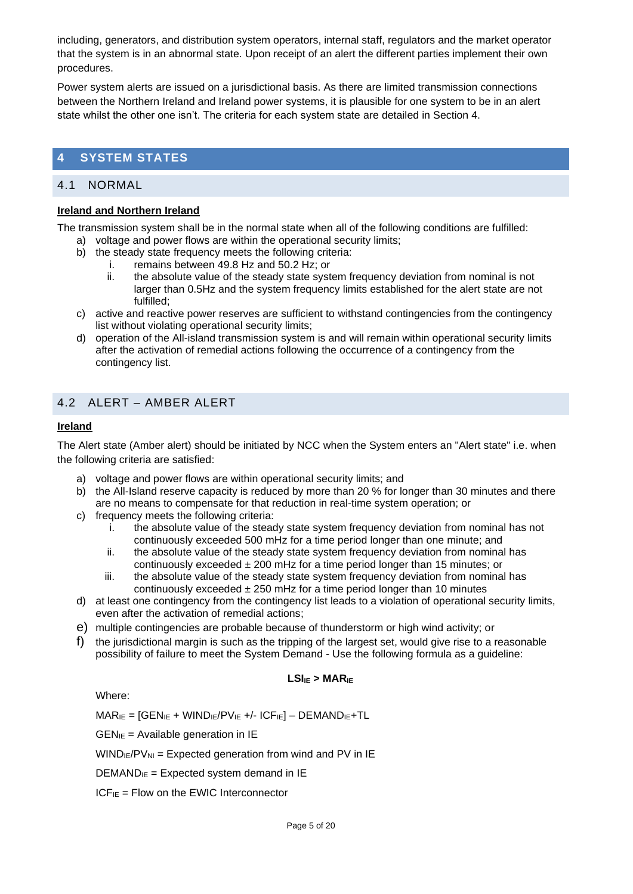including, generators, and distribution system operators, internal staff, regulators and the market operator that the system is in an abnormal state. Upon receipt of an alert the different parties implement their own procedures.

Power system alerts are issued on a jurisdictional basis. As there are limited transmission connections between the Northern Ireland and Ireland power systems, it is plausible for one system to be in an alert state whilst the other one isn't. The criteria for each system state are detailed in Section 4.

# <span id="page-4-0"></span>**4 SYSTEM STATES**

## <span id="page-4-1"></span>4.1 NORMAL

#### **Ireland and Northern Ireland**

The transmission system shall be in the normal state when all of the following conditions are fulfilled:

- a) voltage and power flows are within the operational security limits;
- b) the steady state frequency meets the following criteria:
	- i. remains between 49.8 Hz and 50.2 Hz; or
	- ii. the absolute value of the steady state system frequency deviation from nominal is not larger than 0.5Hz and the system frequency limits established for the alert state are not fulfilled;
- c) active and reactive power reserves are sufficient to withstand contingencies from the contingency list without violating operational security limits;
- d) operation of the All-island transmission system is and will remain within operational security limits after the activation of remedial actions following the occurrence of a contingency from the contingency list.

# <span id="page-4-2"></span>4.2 ALERT – AMBER ALERT

#### **Ireland**

The Alert state (Amber alert) should be initiated by NCC when the System enters an "Alert state" i.e. when the following criteria are satisfied:

- a) voltage and power flows are within operational security limits; and
- b) the All-Island reserve capacity is reduced by more than 20 % for longer than 30 minutes and there are no means to compensate for that reduction in real-time system operation; or
- c) frequency meets the following criteria:
	- i. the absolute value of the steady state system frequency deviation from nominal has not continuously exceeded 500 mHz for a time period longer than one minute; and
	- ii. the absolute value of the steady state system frequency deviation from nominal has continuously exceeded  $\pm 200$  mHz for a time period longer than 15 minutes; or
	- iii. the absolute value of the steady state system frequency deviation from nominal has continuously exceeded  $\pm$  250 mHz for a time period longer than 10 minutes
- d) at least one contingency from the contingency list leads to a violation of operational security limits, even after the activation of remedial actions;
- e) multiple contingencies are probable because of thunderstorm or high wind activity; or
- f) the jurisdictional margin is such as the tripping of the largest set, would give rise to a reasonable possibility of failure to meet the System Demand - Use the following formula as a guideline:

#### **LSIIE > MARIE**

Where:

 $MAR_{IE} = [GEN_{IE} + WIND_{IE}/PV_{IE} +/-ICF_{IE}] - DEMAND_{IE} + TL$ 

 $GEN_{IE}$  = Available generation in IE

 $WIND_{IE}/PV_{NI} = Expected generation from wind and PV in IE$ 

 $DEMAND<sub>IE</sub> = Expected system demand in IE$ 

 $ICF_{IE}$  = Flow on the EWIC Interconnector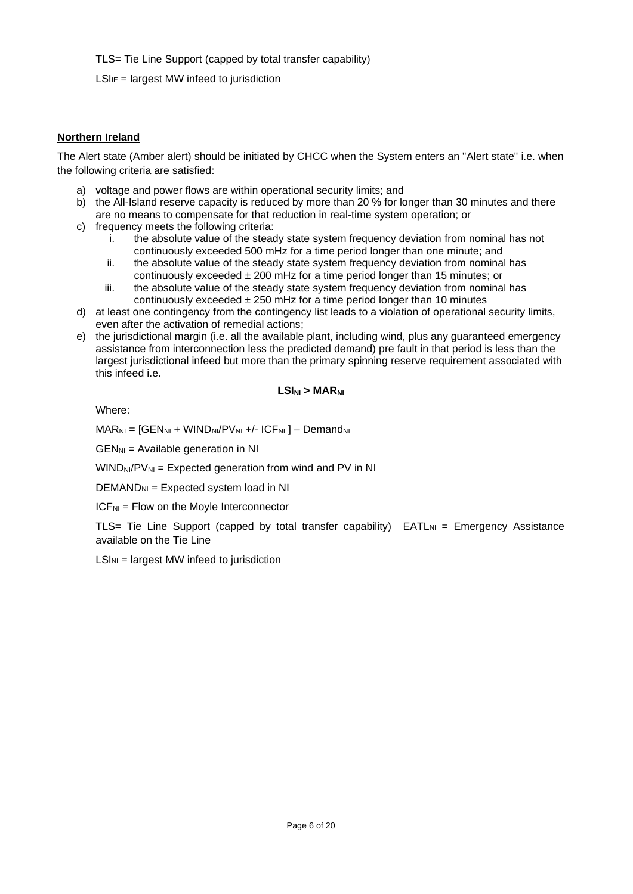TLS= Tie Line Support (capped by total transfer capability)

 $LSI_{IE}$  = largest MW infeed to jurisdiction

#### **Northern Ireland**

The Alert state (Amber alert) should be initiated by CHCC when the System enters an "Alert state" i.e. when the following criteria are satisfied:

- a) voltage and power flows are within operational security limits; and
- b) the All-Island reserve capacity is reduced by more than 20 % for longer than 30 minutes and there are no means to compensate for that reduction in real-time system operation; or
- c) frequency meets the following criteria:
	- i. the absolute value of the steady state system frequency deviation from nominal has not continuously exceeded 500 mHz for a time period longer than one minute; and
	- ii. the absolute value of the steady state system frequency deviation from nominal has continuously exceeded  $\pm 200$  mHz for a time period longer than 15 minutes; or
	- iii. the absolute value of the steady state system frequency deviation from nominal has continuously exceeded  $\pm 250$  mHz for a time period longer than 10 minutes
- d) at least one contingency from the contingency list leads to a violation of operational security limits, even after the activation of remedial actions;
- e) the jurisdictional margin (i.e. all the available plant, including wind, plus any guaranteed emergency assistance from interconnection less the predicted demand) pre fault in that period is less than the largest jurisdictional infeed but more than the primary spinning reserve requirement associated with this infeed i.e.

#### **LSINI > MARNI**

Where:

 $MAR_{\text{NI}} = [GEN_{\text{NI}} + WIND_{\text{NI}}/PV_{\text{NI}} +/-ICF_{\text{NI}}] - Demand_{\text{NI}}$ 

 $GEN_{\text{NI}} =$  Available generation in NI

 $WIND_{\text{NI}}/PV_{\text{NI}} =$  Expected generation from wind and PV in NI

 $DEMAND<sub>NI</sub> = Expected system load in NI$ 

 $ICF<sub>NI</sub> = Flow on the Movie Interconnector$ 

TLS= Tie Line Support (capped by total transfer capability)  $EATL_{NI}$  = Emergency Assistance available on the Tie Line

 $LSI<sub>NI</sub>$  = largest MW infeed to jurisdiction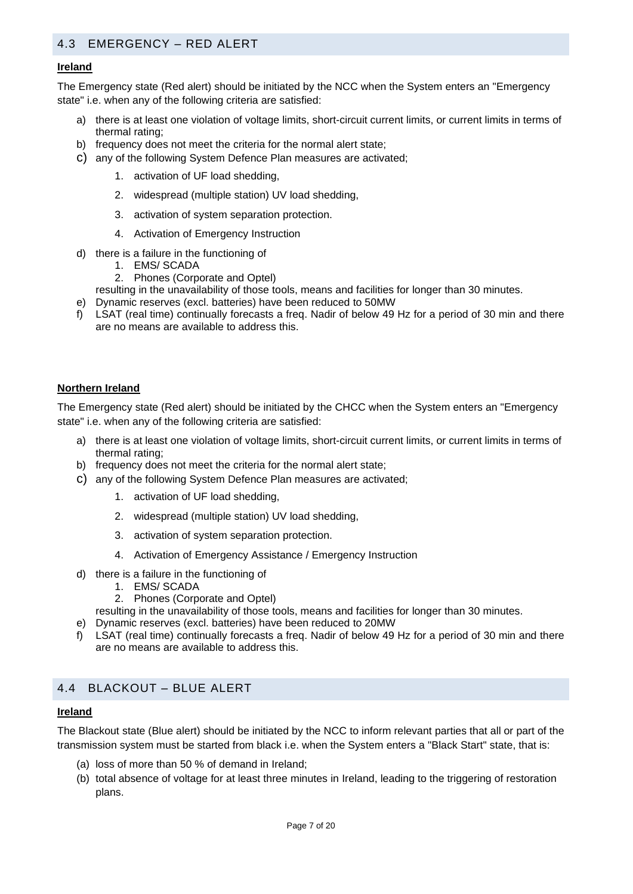# <span id="page-6-0"></span>4.3 EMERGENCY – RED ALERT

#### **Ireland**

The Emergency state (Red alert) should be initiated by the NCC when the System enters an "Emergency state" i.e. when any of the following criteria are satisfied:

- a) there is at least one violation of voltage limits, short-circuit current limits, or current limits in terms of thermal rating;
- b) frequency does not meet the criteria for the normal alert state;
- c) any of the following System Defence Plan measures are activated;
	- 1. activation of UF load shedding,
	- 2. widespread (multiple station) UV load shedding,
	- 3. activation of system separation protection.
	- 4. Activation of Emergency Instruction
- d) there is a failure in the functioning of
	- 1. EMS/ SCADA
	- 2. Phones (Corporate and Optel)

resulting in the unavailability of those tools, means and facilities for longer than 30 minutes.

- e) Dynamic reserves (excl. batteries) have been reduced to 50MW
- f) LSAT (real time) continually forecasts a freq. Nadir of below 49 Hz for a period of 30 min and there are no means are available to address this.

#### **Northern Ireland**

The Emergency state (Red alert) should be initiated by the CHCC when the System enters an "Emergency state" i.e. when any of the following criteria are satisfied:

- a) there is at least one violation of voltage limits, short-circuit current limits, or current limits in terms of thermal rating;
- b) frequency does not meet the criteria for the normal alert state;
- c) any of the following System Defence Plan measures are activated;
	- 1. activation of UF load shedding,
	- 2. widespread (multiple station) UV load shedding,
	- 3. activation of system separation protection.
	- 4. Activation of Emergency Assistance / Emergency Instruction
- d) there is a failure in the functioning of
	- 1. EMS/ SCADA
	- 2. Phones (Corporate and Optel)
- resulting in the unavailability of those tools, means and facilities for longer than 30 minutes.
- e) Dynamic reserves (excl. batteries) have been reduced to 20MW
- f) LSAT (real time) continually forecasts a freq. Nadir of below 49 Hz for a period of 30 min and there are no means are available to address this.

#### <span id="page-6-1"></span>4.4 BLACKOUT – BLUE ALERT

#### **Ireland**

The Blackout state (Blue alert) should be initiated by the NCC to inform relevant parties that all or part of the transmission system must be started from black i.e. when the System enters a "Black Start" state, that is:

- (a) loss of more than 50 % of demand in Ireland;
- (b) total absence of voltage for at least three minutes in Ireland, leading to the triggering of restoration plans.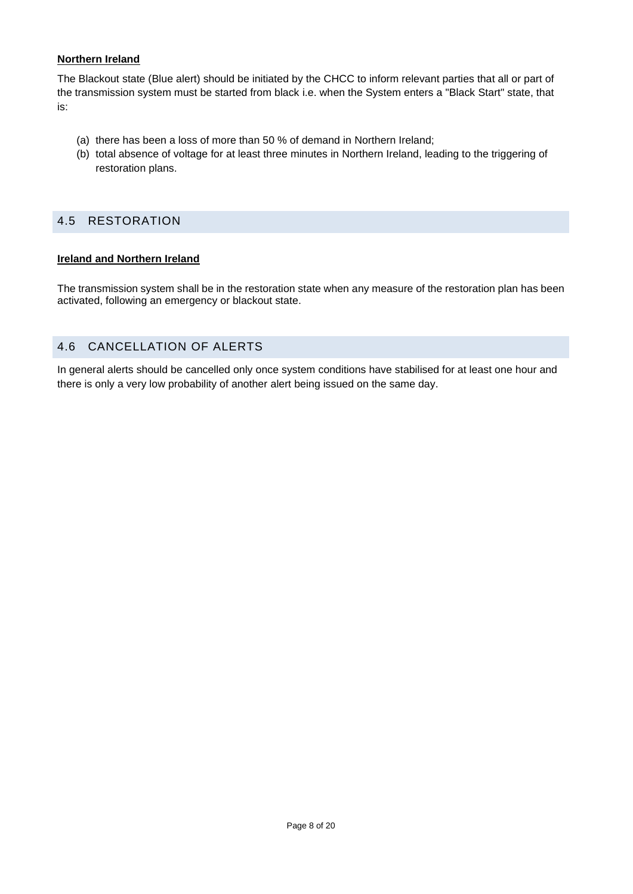#### **Northern Ireland**

The Blackout state (Blue alert) should be initiated by the CHCC to inform relevant parties that all or part of the transmission system must be started from black i.e. when the System enters a "Black Start" state, that is:

- (a) there has been a loss of more than 50 % of demand in Northern Ireland;
- (b) total absence of voltage for at least three minutes in Northern Ireland, leading to the triggering of restoration plans.

#### <span id="page-7-0"></span>4.5 RESTORATION

#### **Ireland and Northern Ireland**

The transmission system shall be in the restoration state when any measure of the restoration plan has been activated, following an emergency or blackout state.

#### <span id="page-7-1"></span>4.6 CANCELLATION OF ALERTS

In general alerts should be cancelled only once system conditions have stabilised for at least one hour and there is only a very low probability of another alert being issued on the same day.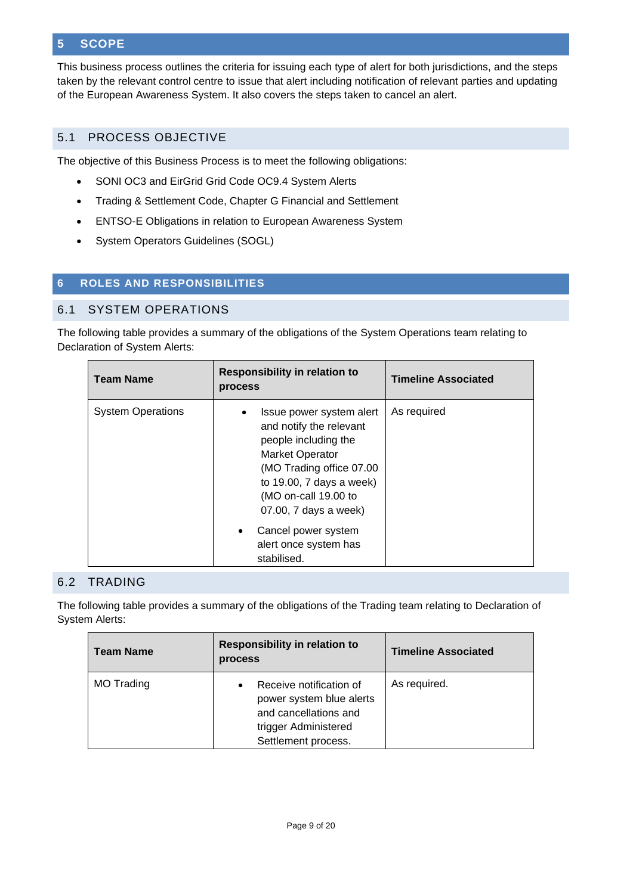# <span id="page-8-0"></span>**5 SCOPE**

This business process outlines the criteria for issuing each type of alert for both jurisdictions, and the steps taken by the relevant control centre to issue that alert including notification of relevant parties and updating of the European Awareness System. It also covers the steps taken to cancel an alert.

# <span id="page-8-1"></span>5.1 PROCESS OBJECTIVE

The objective of this Business Process is to meet the following obligations:

- SONI OC3 and EirGrid Grid Code OC9.4 System Alerts
- Trading & Settlement Code, Chapter G Financial and Settlement
- ENTSO-E Obligations in relation to European Awareness System
- System Operators Guidelines (SOGL)

# <span id="page-8-2"></span>**6 ROLES AND RESPONSIBILITIES**

#### <span id="page-8-3"></span>6.1 SYSTEM OPERATIONS

The following table provides a summary of the obligations of the System Operations team relating to Declaration of System Alerts:

| <b>Team Name</b>         | <b>Responsibility in relation to</b><br>process                                                                                                                                                                | <b>Timeline Associated</b> |
|--------------------------|----------------------------------------------------------------------------------------------------------------------------------------------------------------------------------------------------------------|----------------------------|
| <b>System Operations</b> | Issue power system alert<br>and notify the relevant<br>people including the<br><b>Market Operator</b><br>(MO Trading office 07.00<br>to 19.00, 7 days a week)<br>(MO on-call 19.00 to<br>07.00, 7 days a week) | As required                |
|                          | Cancel power system<br>$\bullet$<br>alert once system has<br>stabilised.                                                                                                                                       |                            |

#### <span id="page-8-4"></span>6.2 TRADING

The following table provides a summary of the obligations of the Trading team relating to Declaration of System Alerts:

| <b>Team Name</b>  | <b>Responsibility in relation to</b><br>process                                                                                          | <b>Timeline Associated</b> |
|-------------------|------------------------------------------------------------------------------------------------------------------------------------------|----------------------------|
| <b>MO Trading</b> | Receive notification of<br>$\bullet$<br>power system blue alerts<br>and cancellations and<br>trigger Administered<br>Settlement process. | As required.               |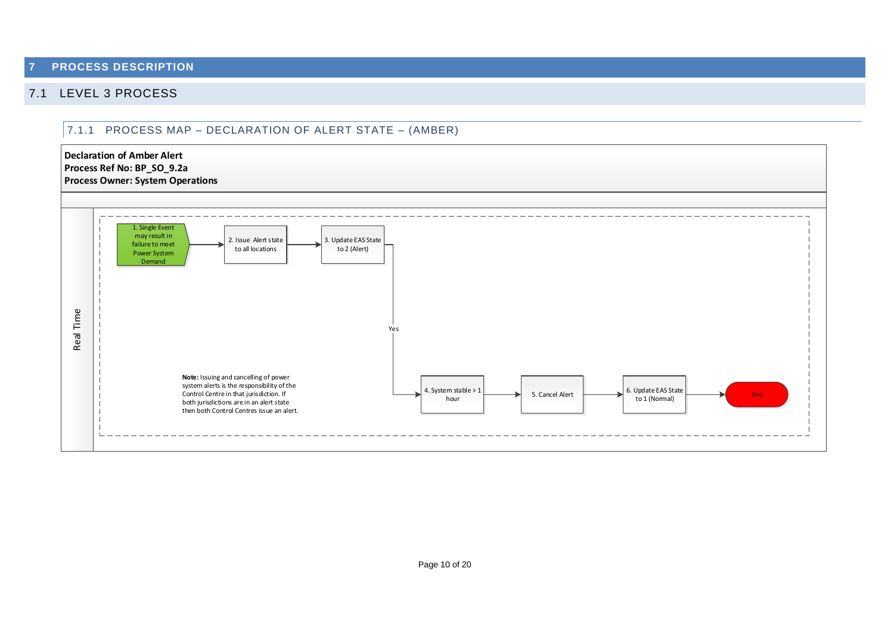#### **7 PROCESS DESCRIPTION**

# <span id="page-9-1"></span><span id="page-9-0"></span>7.1 LEVEL 3 PROCESS

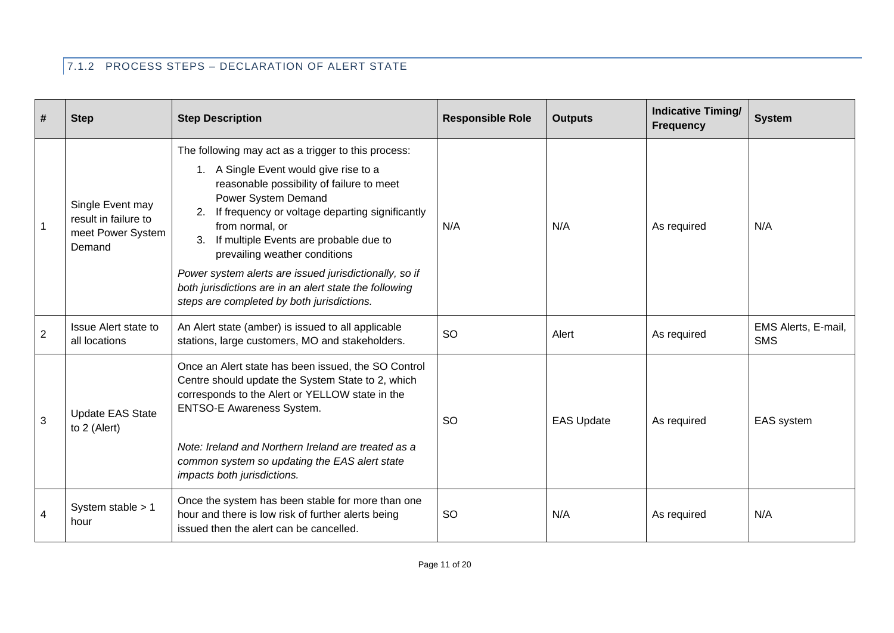# 7.1.2 PROCESS STEPS – DECLARATION OF ALERT STATE

| #              | <b>Step</b>                                                             | <b>Step Description</b>                                                                                                                                                                                                                                                                                                                | <b>Responsible Role</b> | <b>Outputs</b>    | <b>Indicative Timing/</b><br><b>Frequency</b> | <b>System</b>                     |
|----------------|-------------------------------------------------------------------------|----------------------------------------------------------------------------------------------------------------------------------------------------------------------------------------------------------------------------------------------------------------------------------------------------------------------------------------|-------------------------|-------------------|-----------------------------------------------|-----------------------------------|
|                | Single Event may<br>result in failure to<br>meet Power System<br>Demand | The following may act as a trigger to this process:<br>1. A Single Event would give rise to a<br>reasonable possibility of failure to meet<br>Power System Demand<br>2. If frequency or voltage departing significantly<br>from normal, or<br>If multiple Events are probable due to<br>3.<br>prevailing weather conditions            | N/A                     | N/A               | As required                                   | N/A                               |
|                |                                                                         | Power system alerts are issued jurisdictionally, so if<br>both jurisdictions are in an alert state the following<br>steps are completed by both jurisdictions.                                                                                                                                                                         |                         |                   |                                               |                                   |
| $\overline{2}$ | Issue Alert state to<br>all locations                                   | An Alert state (amber) is issued to all applicable<br>stations, large customers, MO and stakeholders.                                                                                                                                                                                                                                  | SO                      | Alert             | As required                                   | EMS Alerts, E-mail,<br><b>SMS</b> |
| 3              | <b>Update EAS State</b><br>to 2 (Alert)                                 | Once an Alert state has been issued, the SO Control<br>Centre should update the System State to 2, which<br>corresponds to the Alert or YELLOW state in the<br><b>ENTSO-E Awareness System.</b><br>Note: Ireland and Northern Ireland are treated as a<br>common system so updating the EAS alert state<br>impacts both jurisdictions. | <b>SO</b>               | <b>EAS Update</b> | As required                                   | EAS system                        |
| 4              | System stable > 1<br>hour                                               | Once the system has been stable for more than one<br>hour and there is low risk of further alerts being<br>issued then the alert can be cancelled.                                                                                                                                                                                     | <b>SO</b>               | N/A               | As required                                   | N/A                               |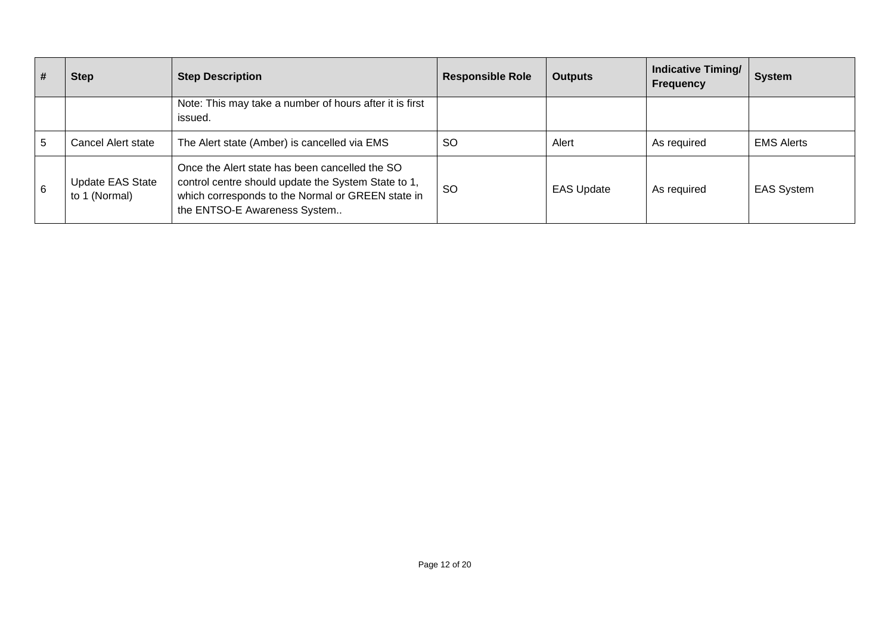| # | <b>Step</b>                              | <b>Step Description</b>                                                                                                                                                                    | <b>Responsible Role</b> | <b>Outputs</b>    | <b>Indicative Timing/</b><br><b>Frequency</b> | <b>System</b>     |
|---|------------------------------------------|--------------------------------------------------------------------------------------------------------------------------------------------------------------------------------------------|-------------------------|-------------------|-----------------------------------------------|-------------------|
|   |                                          | Note: This may take a number of hours after it is first<br>issued.                                                                                                                         |                         |                   |                                               |                   |
| 5 | Cancel Alert state                       | The Alert state (Amber) is cancelled via EMS                                                                                                                                               | <b>SO</b>               | Alert             | As required                                   | <b>EMS Alerts</b> |
| 6 | <b>Update EAS State</b><br>to 1 (Normal) | Once the Alert state has been cancelled the SO<br>control centre should update the System State to 1,<br>which corresponds to the Normal or GREEN state in<br>the ENTSO-E Awareness System | -SO                     | <b>EAS Update</b> | As required                                   | <b>EAS System</b> |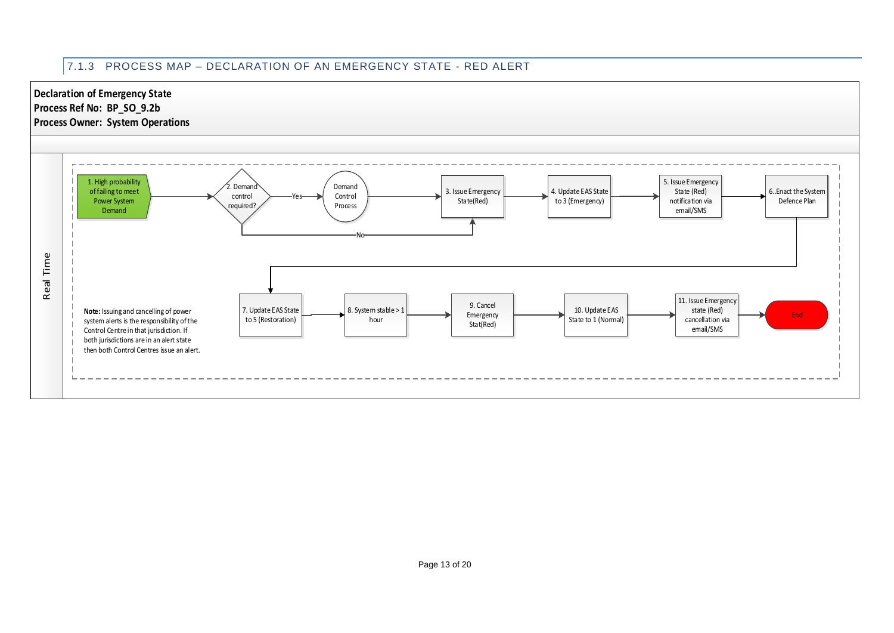# 7.1.3 PROCESS MAP – DECLARATION OF AN EMERGENCY STATE - RED ALERT

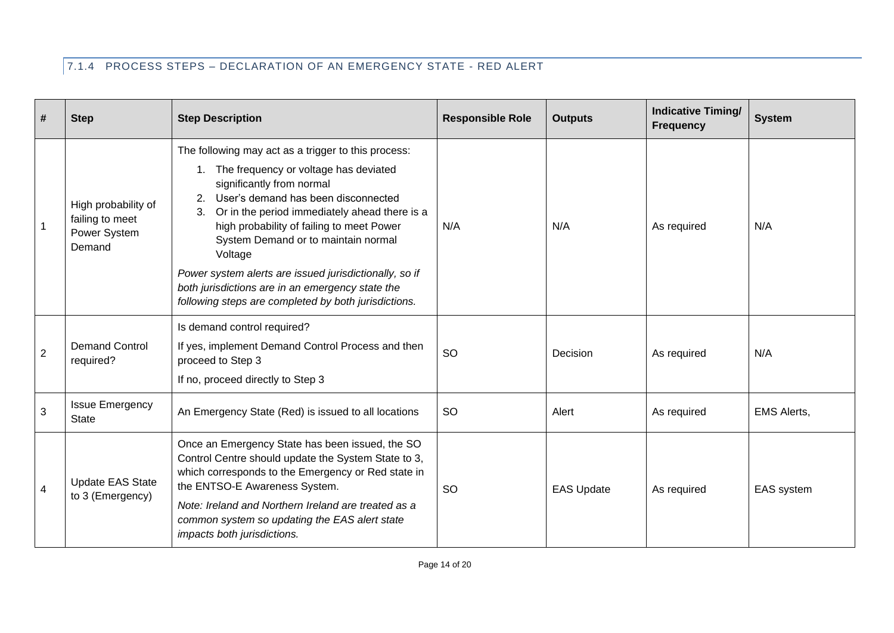# 7.1.4 PROCESS STEPS – DECLARATION OF AN EMERGENCY STATE - RED ALERT

| #              | <b>Step</b>                                                      | <b>Step Description</b>                                                                                                                                                                                                                                                                                                                                                                                                                                                                               | <b>Responsible Role</b> | <b>Outputs</b>    | <b>Indicative Timing/</b><br><b>Frequency</b> | <b>System</b>      |
|----------------|------------------------------------------------------------------|-------------------------------------------------------------------------------------------------------------------------------------------------------------------------------------------------------------------------------------------------------------------------------------------------------------------------------------------------------------------------------------------------------------------------------------------------------------------------------------------------------|-------------------------|-------------------|-----------------------------------------------|--------------------|
| $\overline{1}$ | High probability of<br>failing to meet<br>Power System<br>Demand | The following may act as a trigger to this process:<br>1. The frequency or voltage has deviated<br>significantly from normal<br>User's demand has been disconnected<br>2.<br>Or in the period immediately ahead there is a<br>3.<br>high probability of failing to meet Power<br>System Demand or to maintain normal<br>Voltage<br>Power system alerts are issued jurisdictionally, so if<br>both jurisdictions are in an emergency state the<br>following steps are completed by both jurisdictions. | N/A                     | N/A               | As required                                   | N/A                |
| $\overline{2}$ | <b>Demand Control</b><br>required?                               | Is demand control required?<br>If yes, implement Demand Control Process and then<br>proceed to Step 3<br>If no, proceed directly to Step 3                                                                                                                                                                                                                                                                                                                                                            | <b>SO</b>               | Decision          | As required                                   | N/A                |
| 3              | <b>Issue Emergency</b><br><b>State</b>                           | An Emergency State (Red) is issued to all locations                                                                                                                                                                                                                                                                                                                                                                                                                                                   | <b>SO</b>               | Alert             | As required                                   | <b>EMS Alerts,</b> |
| $\overline{4}$ | <b>Update EAS State</b><br>to 3 (Emergency)                      | Once an Emergency State has been issued, the SO<br>Control Centre should update the System State to 3,<br>which corresponds to the Emergency or Red state in<br>the ENTSO-E Awareness System.<br>Note: Ireland and Northern Ireland are treated as a<br>common system so updating the EAS alert state<br>impacts both jurisdictions.                                                                                                                                                                  | <b>SO</b>               | <b>EAS Update</b> | As required                                   | EAS system         |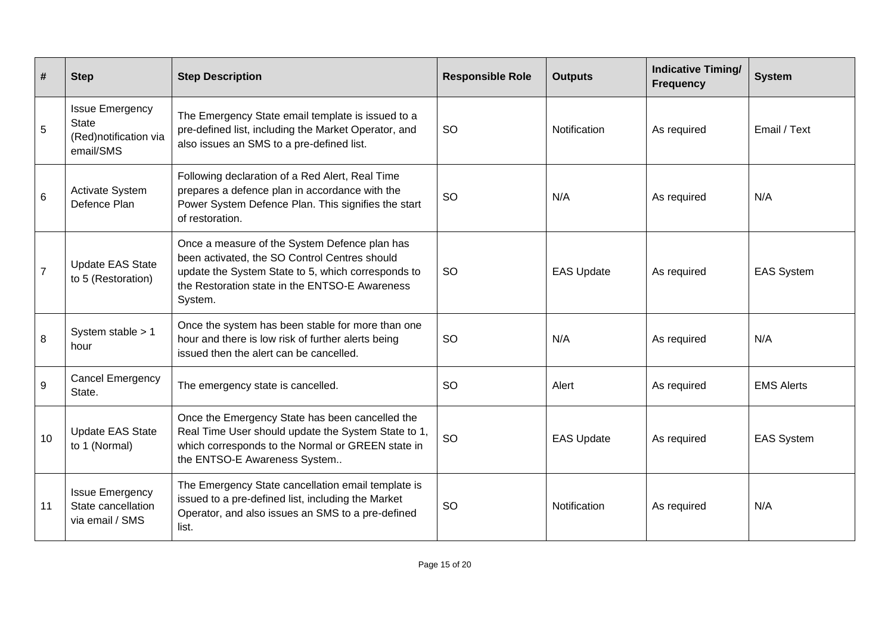| #              | <b>Step</b>                                                                  | <b>Step Description</b>                                                                                                                                                                                           | <b>Responsible Role</b> | <b>Outputs</b>    | <b>Indicative Timing/</b><br><b>Frequency</b> | <b>System</b>     |
|----------------|------------------------------------------------------------------------------|-------------------------------------------------------------------------------------------------------------------------------------------------------------------------------------------------------------------|-------------------------|-------------------|-----------------------------------------------|-------------------|
| 5              | <b>Issue Emergency</b><br><b>State</b><br>(Red)notification via<br>email/SMS | The Emergency State email template is issued to a<br>pre-defined list, including the Market Operator, and<br>also issues an SMS to a pre-defined list.                                                            | <b>SO</b>               | Notification      | As required                                   | Email / Text      |
| 6              | Activate System<br>Defence Plan                                              | Following declaration of a Red Alert, Real Time<br>prepares a defence plan in accordance with the<br>Power System Defence Plan. This signifies the start<br>of restoration.                                       | SO                      | N/A               | As required                                   | N/A               |
| $\overline{7}$ | <b>Update EAS State</b><br>to 5 (Restoration)                                | Once a measure of the System Defence plan has<br>been activated, the SO Control Centres should<br>update the System State to 5, which corresponds to<br>the Restoration state in the ENTSO-E Awareness<br>System. | <b>SO</b>               | <b>EAS Update</b> | As required                                   | <b>EAS System</b> |
| 8              | System stable > 1<br>hour                                                    | Once the system has been stable for more than one<br>hour and there is low risk of further alerts being<br>issued then the alert can be cancelled.                                                                | <b>SO</b>               | N/A               | As required                                   | N/A               |
| 9              | <b>Cancel Emergency</b><br>State.                                            | The emergency state is cancelled.                                                                                                                                                                                 | <b>SO</b>               | Alert             | As required                                   | <b>EMS Alerts</b> |
| 10             | <b>Update EAS State</b><br>to 1 (Normal)                                     | Once the Emergency State has been cancelled the<br>Real Time User should update the System State to 1,<br>which corresponds to the Normal or GREEN state in<br>the ENTSO-E Awareness System                       | <b>SO</b>               | <b>EAS Update</b> | As required                                   | <b>EAS System</b> |
| 11             | <b>Issue Emergency</b><br>State cancellation<br>via email / SMS              | The Emergency State cancellation email template is<br>issued to a pre-defined list, including the Market<br>Operator, and also issues an SMS to a pre-defined<br>list.                                            | SO                      | Notification      | As required                                   | N/A               |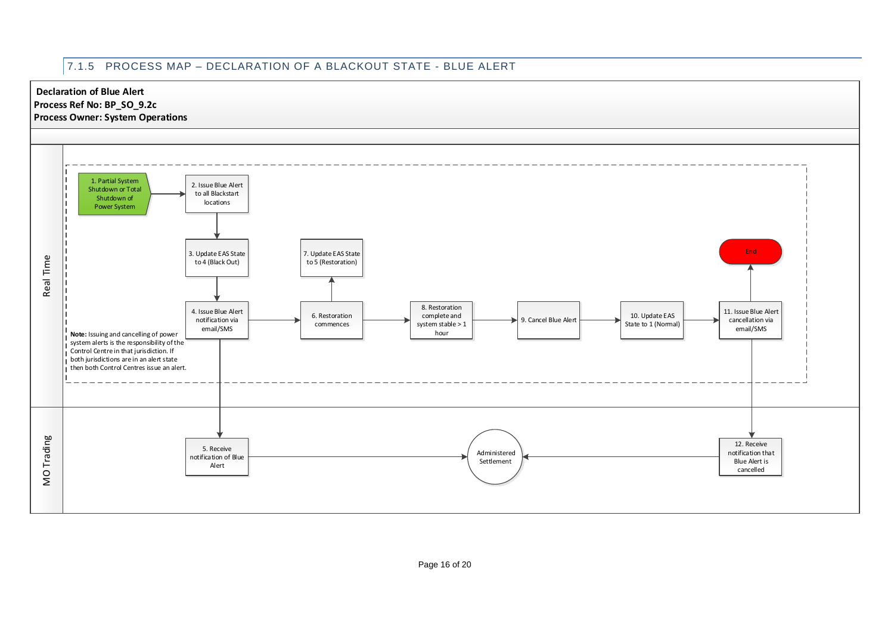# 7.1.5 PROCESS MAP – DECLARATION OF A BLACKOUT STATE - BLUE ALERT

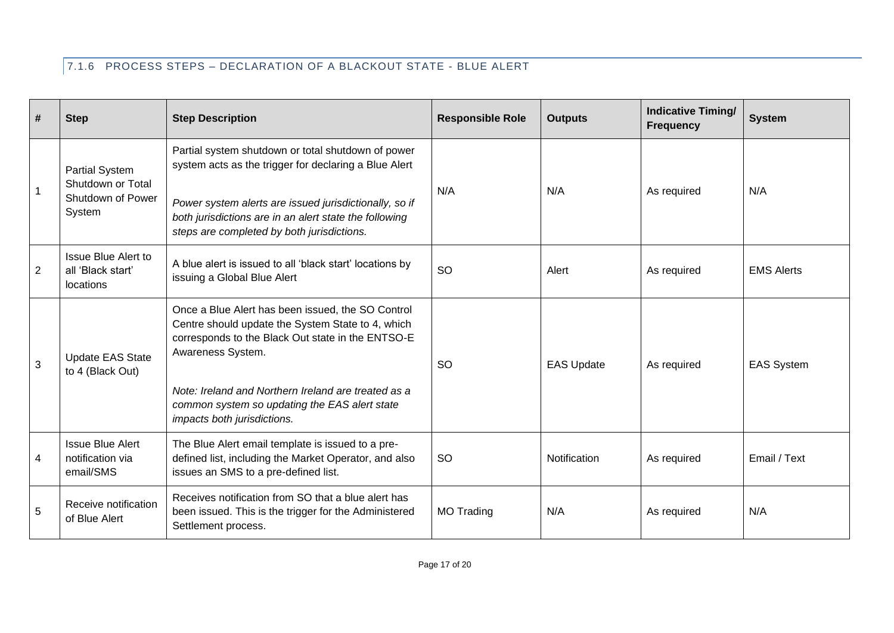# 7.1.6 PROCESS STEPS – DECLARATION OF A BLACKOUT STATE - BLUE ALERT

| #              | <b>Step</b>                                                               | <b>Step Description</b>                                                                                                                                                                                                                                                                                                 | <b>Responsible Role</b> | <b>Outputs</b>    | <b>Indicative Timing/</b><br><b>Frequency</b> | <b>System</b>     |
|----------------|---------------------------------------------------------------------------|-------------------------------------------------------------------------------------------------------------------------------------------------------------------------------------------------------------------------------------------------------------------------------------------------------------------------|-------------------------|-------------------|-----------------------------------------------|-------------------|
| $\mathbf{1}$   | <b>Partial System</b><br>Shutdown or Total<br>Shutdown of Power<br>System | Partial system shutdown or total shutdown of power<br>system acts as the trigger for declaring a Blue Alert<br>Power system alerts are issued jurisdictionally, so if<br>both jurisdictions are in an alert state the following<br>steps are completed by both jurisdictions.                                           | N/A                     | N/A               | As required                                   | N/A               |
| $\overline{2}$ | <b>Issue Blue Alert to</b><br>all 'Black start'<br><b>locations</b>       | A blue alert is issued to all 'black start' locations by<br>issuing a Global Blue Alert                                                                                                                                                                                                                                 | <b>SO</b>               | Alert             | As required                                   | <b>EMS Alerts</b> |
| $\mathbf{3}$   | <b>Update EAS State</b><br>to 4 (Black Out)                               | Once a Blue Alert has been issued, the SO Control<br>Centre should update the System State to 4, which<br>corresponds to the Black Out state in the ENTSO-E<br>Awareness System.<br>Note: Ireland and Northern Ireland are treated as a<br>common system so updating the EAS alert state<br>impacts both jurisdictions. | <b>SO</b>               | <b>EAS Update</b> | As required                                   | <b>EAS System</b> |
| $\overline{4}$ | <b>Issue Blue Alert</b><br>notification via<br>email/SMS                  | The Blue Alert email template is issued to a pre-<br>defined list, including the Market Operator, and also<br>issues an SMS to a pre-defined list.                                                                                                                                                                      | <b>SO</b>               | Notification      | As required                                   | Email / Text      |
| 5              | Receive notification<br>of Blue Alert                                     | Receives notification from SO that a blue alert has<br>been issued. This is the trigger for the Administered<br>Settlement process.                                                                                                                                                                                     | <b>MO Trading</b>       | N/A               | As required                                   | N/A               |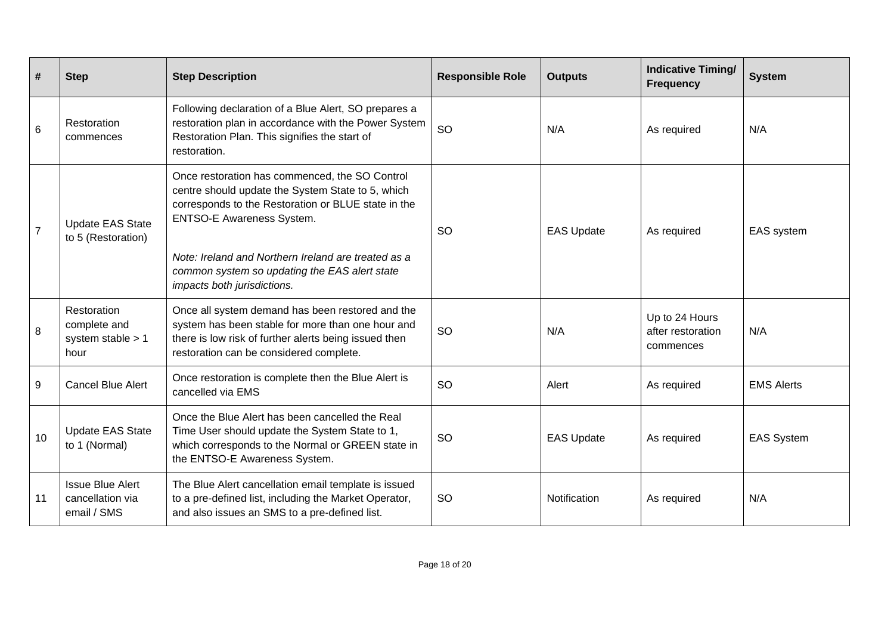| #              | <b>Step</b>                                                | <b>Step Description</b>                                                                                                                                                                                                                                                                                                               | <b>Responsible Role</b> | <b>Outputs</b>    | <b>Indicative Timing/</b><br><b>Frequency</b>    | <b>System</b>     |
|----------------|------------------------------------------------------------|---------------------------------------------------------------------------------------------------------------------------------------------------------------------------------------------------------------------------------------------------------------------------------------------------------------------------------------|-------------------------|-------------------|--------------------------------------------------|-------------------|
| $\,6\,$        | Restoration<br>commences                                   | Following declaration of a Blue Alert, SO prepares a<br>restoration plan in accordance with the Power System<br>Restoration Plan. This signifies the start of<br>restoration.                                                                                                                                                         | <b>SO</b>               | N/A               | As required                                      | N/A               |
| $\overline{7}$ | <b>Update EAS State</b><br>to 5 (Restoration)              | Once restoration has commenced, the SO Control<br>centre should update the System State to 5, which<br>corresponds to the Restoration or BLUE state in the<br><b>ENTSO-E Awareness System.</b><br>Note: Ireland and Northern Ireland are treated as a<br>common system so updating the EAS alert state<br>impacts both jurisdictions. | <b>SO</b>               | <b>EAS Update</b> | As required                                      | EAS system        |
| $\,8\,$        | Restoration<br>complete and<br>system stable $> 1$<br>hour | Once all system demand has been restored and the<br>system has been stable for more than one hour and<br>there is low risk of further alerts being issued then<br>restoration can be considered complete.                                                                                                                             | SO                      | N/A               | Up to 24 Hours<br>after restoration<br>commences | N/A               |
| 9              | <b>Cancel Blue Alert</b>                                   | Once restoration is complete then the Blue Alert is<br>cancelled via EMS                                                                                                                                                                                                                                                              | <b>SO</b>               | Alert             | As required                                      | <b>EMS Alerts</b> |
| 10             | <b>Update EAS State</b><br>to 1 (Normal)                   | Once the Blue Alert has been cancelled the Real<br>Time User should update the System State to 1,<br>which corresponds to the Normal or GREEN state in<br>the ENTSO-E Awareness System.                                                                                                                                               | <b>SO</b>               | <b>EAS Update</b> | As required                                      | <b>EAS System</b> |
| 11             | <b>Issue Blue Alert</b><br>cancellation via<br>email / SMS | The Blue Alert cancellation email template is issued<br>to a pre-defined list, including the Market Operator,<br>and also issues an SMS to a pre-defined list.                                                                                                                                                                        | <b>SO</b>               | Notification      | As required                                      | N/A               |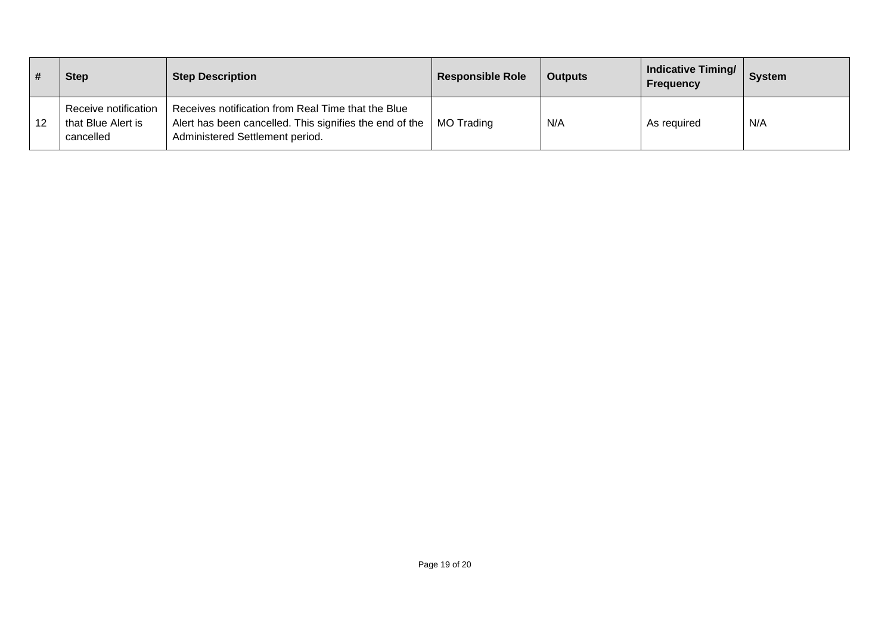|    | <b>Step</b>                                             | <b>Step Description</b>                                                                                                                          | <b>Responsible Role</b> | <b>Outputs</b> | <b>Indicative Timing/</b><br><b>Frequency</b> | <b>System</b> |
|----|---------------------------------------------------------|--------------------------------------------------------------------------------------------------------------------------------------------------|-------------------------|----------------|-----------------------------------------------|---------------|
| 12 | Receive notification<br>that Blue Alert is<br>cancelled | Receives notification from Real Time that the Blue<br>Alert has been cancelled. This signifies the end of the<br>Administered Settlement period. | MO Trading              | N/A            | As required                                   | N/A           |